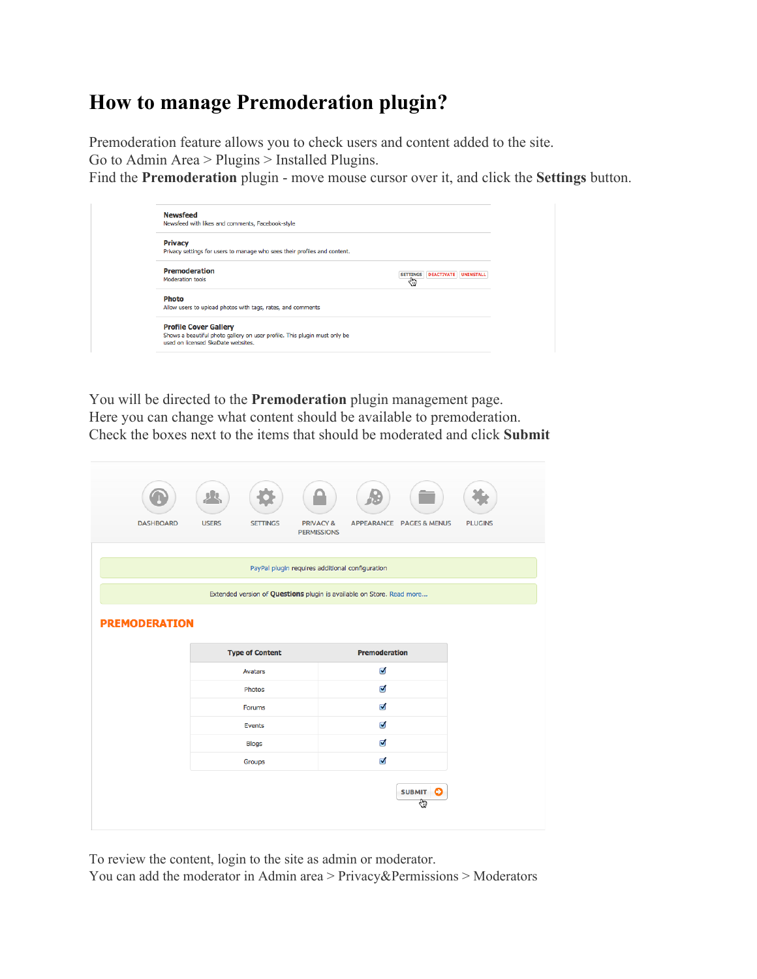## **How to manage Premoderation plugin?**

Premoderation feature allows you to check users and content added to the site.

Go to Admin Area > Plugins > Installed Plugins[.](https://hello.skadate.com/docs/faq/site_configuration/premoderation-plugin#fn__1)

Find the **Premoderation** plugin - move mouse cursor over it, and click the **Settings** button.

| <b>Newsfeed</b>                                                                                                 |                                                |
|-----------------------------------------------------------------------------------------------------------------|------------------------------------------------|
| Newsfeed with likes and comments, Facebook-style                                                                |                                                |
| <b>Privacy</b>                                                                                                  |                                                |
| Privacy settings for users to manage who sees their profiles and content.                                       |                                                |
| Premoderation                                                                                                   | <b>DEACTIVATE UNINSTALL</b><br><b>SETTINGS</b> |
| <b>Moderation tools</b>                                                                                         | در م                                           |
| <b>Photo</b>                                                                                                    |                                                |
| Allow users to upload photos with tags, rates, and comments                                                     |                                                |
| <b>Profile Cover Gallery</b>                                                                                    |                                                |
| Shows a beautiful photo gallery on user profile. This plugin must only be<br>used on licensed SkaDate websites. |                                                |

You will be directed to the **Premoderation** plugin management page. Here you can change what content should be available to premoderation. Check the boxes next to the items that should be moderated and click **Submit**

|                      | ρk                              |                                                                        |                |
|----------------------|---------------------------------|------------------------------------------------------------------------|----------------|
| <b>DASHBOARD</b>     | <b>USERS</b><br><b>SETTINGS</b> | <b>PRIVACY &amp;</b><br>APPEARANCE PAGES & MENUS<br><b>PERMISSIONS</b> | <b>PLUGINS</b> |
|                      |                                 | PayPal plugin requires additional configuration                        |                |
|                      |                                 | Extended version of Questions plugin is available on Store. Read more  |                |
| <b>PREMODERATION</b> |                                 |                                                                        |                |
|                      | <b>Type of Content</b>          | Premoderation                                                          |                |
|                      | Avatars                         | M                                                                      |                |
|                      | Photos                          | Ø                                                                      |                |
|                      | Forums                          | Ø                                                                      |                |
|                      | Events                          | ⊽                                                                      |                |
|                      | <b>Blogs</b>                    | ⊽                                                                      |                |
|                      | Groups                          | ⊽                                                                      |                |
|                      |                                 | <b>SUBMIT</b><br>c<br>⊕                                                |                |

To review the content, login to the site as admin or moderator.

You can add the moderator in Admin area > Privacy&Permissions > Moderator[s](https://hello.skadate.com/docs/faq/site_configuration/premoderation-plugin#fn__2)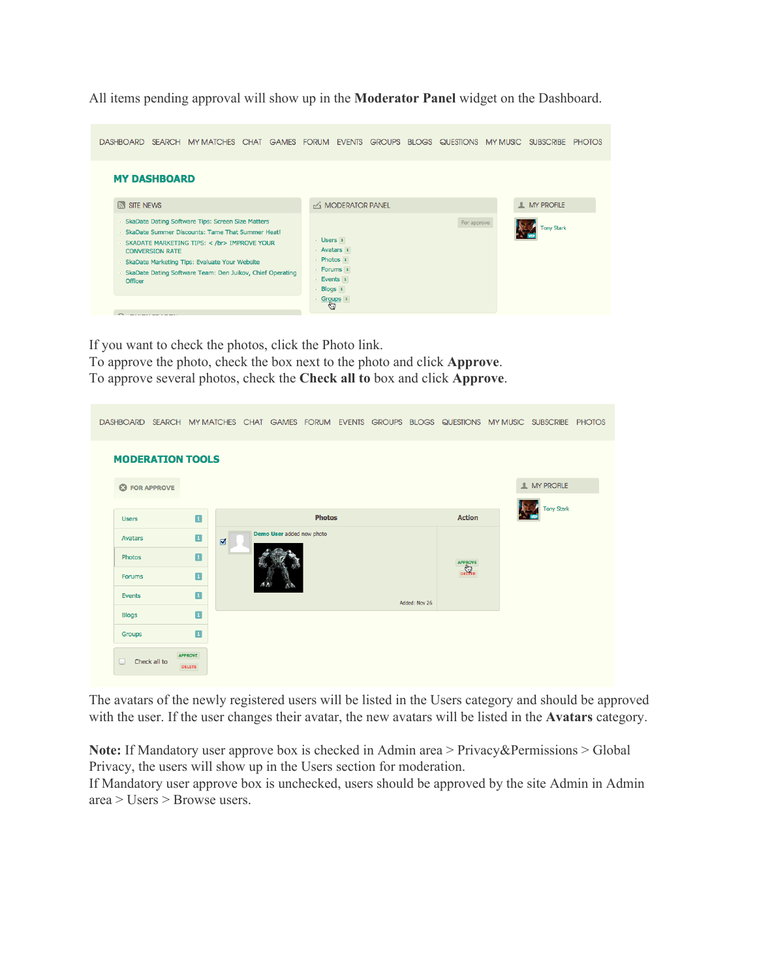All items pending approval will show up in the **Moderator Panel**widget on the Dashboard.

| DASHBOARD SEARCH                                                                                                                                                                                                                                                                                            |                                                                                           | MY MATCHES CHAT GAMES FORUM EVENTS GROUPS BLOGS QUESTIONS MY MUSIC SUBSCRIBE<br><b>PHOTOS</b> |
|-------------------------------------------------------------------------------------------------------------------------------------------------------------------------------------------------------------------------------------------------------------------------------------------------------------|-------------------------------------------------------------------------------------------|-----------------------------------------------------------------------------------------------|
| <b>MY DASHBOARD</b>                                                                                                                                                                                                                                                                                         |                                                                                           |                                                                                               |
| <b>STE NEWS</b>                                                                                                                                                                                                                                                                                             | <b>A MODERATOR PANEL</b>                                                                  | <b>MY PROFILE</b>                                                                             |
| SkaDate Dating Software Tips: Screen Size Matters<br>> SkaDate Summer Discounts: Tame That Summer Heat!<br>SKADATE MARKETING TIPS: < /br> IMPROVE YOUR<br><b>CONVERSION RATE</b><br>> SkaDate Marketing Tips: Evaluate Your Website<br>SkaDate Dating Software Team: Den Juikov, Chief Operating<br>Officer | <b>Users</b> 1<br>Avatars 1<br>Photos <sub>1</sub><br>> Forums 1<br>Events 1<br>> Blogs 1 | For approve<br><b>Tony Stark</b>                                                              |
| $\bullet$                                                                                                                                                                                                                                                                                                   | Groups <sub>1</sub><br>€                                                                  |                                                                                               |

If you want to check the photos, click the Photo link.

To approve the photo, check the box next to the photo and click **Approve**. To approve several photos, check the **Check all to**box and click **Approve**.

| DASHBOARD SEARCH MY MATCHES CHAT GAMES FORUM EVENTS GROUPS BLOGS QUESTIONS MY MUSIC SUBSCRIBE PHOTOS |                                  |                           |               |  |               |                   |                   |  |
|------------------------------------------------------------------------------------------------------|----------------------------------|---------------------------|---------------|--|---------------|-------------------|-------------------|--|
| <b>MODERATION TOOLS</b>                                                                              |                                  |                           |               |  |               |                   |                   |  |
| <b>C</b> FOR APPROVE                                                                                 |                                  |                           |               |  |               |                   | <b>MY PROFILE</b> |  |
|                                                                                                      |                                  |                           |               |  |               |                   | <b>Tony Stark</b> |  |
| <b>Users</b>                                                                                         | $\blacksquare$                   |                           | <b>Photos</b> |  |               | <b>Action</b>     |                   |  |
| <b>Avatars</b>                                                                                       | $\blacksquare$<br>$\blacksquare$ | Demo User added new photo |               |  |               |                   |                   |  |
| Photos                                                                                               | $\blacksquare$                   |                           |               |  |               |                   |                   |  |
| <b>Forums</b>                                                                                        | $\blacksquare$                   |                           |               |  |               | APPROVE<br>DELETE |                   |  |
| Events                                                                                               | $\blacksquare$                   |                           |               |  |               |                   |                   |  |
| <b>Blogs</b>                                                                                         | $\blacksquare$                   |                           |               |  | Added: Nov 26 |                   |                   |  |
| <b>Groups</b>                                                                                        | $\blacksquare$                   |                           |               |  |               |                   |                   |  |
| Check all to<br>$\Box$                                                                               | <b>APPROVE</b><br>DELETE         |                           |               |  |               |                   |                   |  |

The avatars of the newly registered users will be listed in the Users category and should be approved with the user. If the user changes their avatar, the new avatars will be listed in the **Avatars**category.

**Note:**If Mandatory user approve box is checked in Admin area > Privacy&Permissions > Global Privacy, the users will show up in the Users section for moderation.

If Mandatory user approve box is unchecked, users should be approved by the site Admin in Admin area > Users > Browse users.